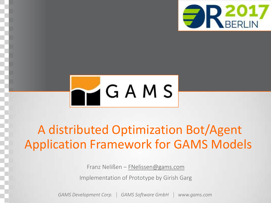



### A distributed Optimization Bot/Agent Application Framework for GAMS Models

Franz Nelißen – [FNelissen@gams.com](mailto:FNelissen@gams.com)

Implementation of Prototype by Girish Garg

*GAMS Development Corp. GAMS Software GmbH www.gams.com*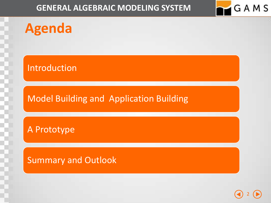GAMS

**Agenda**

Introduction

#### Model Building and Application Building

A Prototype

Summary and Outlook

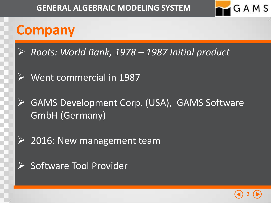

### **Company**

- *Roots: World Bank, 1978 – 1987 Initial product*
- $\triangleright$  Went commercial in 1987
- GAMS Development Corp. (USA), GAMS Software GmbH (Germany)
- $\triangleright$  2016: New management team
- $\triangleright$  Software Tool Provider

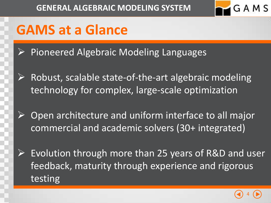

### **GAMS at a Glance**

- Pioneered Algebraic Modeling Languages
- $\triangleright$  Robust, scalable state-of-the-art algebraic modeling technology for complex, large-scale optimization
- Open architecture and uniform interface to all major commercial and academic solvers (30+ integrated)
- Evolution through more than 25 years of R&D and user feedback, maturity through experience and rigorous testing

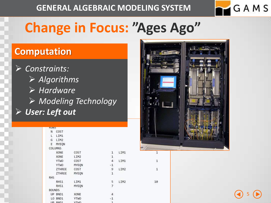

5

### **Change in Focus: "Ages Ago"**

#### **Computation**

 *Constraints: Algorithms Hardware Modeling Technology User: Left out*

| <b>KUWS</b>   |                |              |               |      |
|---------------|----------------|--------------|---------------|------|
| N.            | COST           |              |               |      |
| L.            | LIM1           |              |               |      |
| G             | LIM2           |              |               |      |
| E             | MYEQN          |              |               |      |
|               | <b>COLUMNS</b> |              |               |      |
|               | XONE           | COST         | 1             | LIM1 |
|               | XONE           | LIM2         | $\mathbf 1$   |      |
|               | <b>YTWO</b>    | COST         | 4             | LIM1 |
|               | <b>YTWO</b>    | MYEON        | $-1$          |      |
|               | ZTHREE         | COST         | $\cdot$ 9     | LIM2 |
|               | <b>ZTHREE</b>  | MYEON        | $\mathbf{1}$  |      |
| <b>RHS</b>    |                |              |               |      |
|               | RHS1           | LIM1         | 5             | LIM2 |
|               | RHS1           | MYEON        | 7             |      |
| <b>BOUNDS</b> |                |              |               |      |
|               | UP BND1        | XONE         | 4             |      |
|               | LO BND1        | <b>YTWO</b>  | $-1$          |      |
|               | LIPL FURNITURE | <b>MTLIA</b> | $\rightarrow$ |      |



 $\mathbf 1$ 

 $\mathbf 1$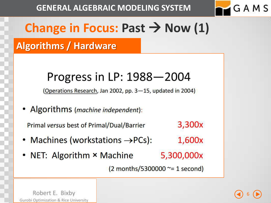

### **Change in Focus: Past**  $\rightarrow$  **Now (1)**

#### **Algorithms / Hardware**

### Progress in LP: 1988-2004

(Operations Research, Jan 2002, pp. 3-15, updated in 2004)

• Algorithms (machine independent):

3,300x **Primal versus best of Primal/Dual/Barrier** 

- Machines (workstations  $\rightarrow PCs$ ): 1,600x
- NET: Algorithm × Machine 5,300,000x

 $(2$  months/5300000  $\approx$  = 1 second)

Robert E. Bixby Gurobi Optimization & Rice University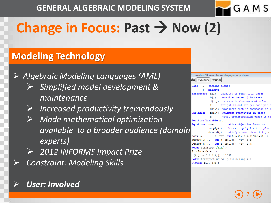

# **Change in Focus: Past**  $\rightarrow$  **Now (2)**

#### **Modeling Technology**

 *Algebraic Modeling Languages (AML) Simplified model development & maintenance*

- *Increased productivity tremendously*
- *Made mathematical optimization available to a broader audience (domain experts)*
- *2012 INFORMS Impact Prize Constraint: Modeling Skills*

#### *User: Involved*

|    | C:\Users\Franz\Documents\qamsdir\projdir\trnsport.gms \ |                                         |                                  |                                         |  |
|----|---------------------------------------------------------|-----------------------------------------|----------------------------------|-----------------------------------------|--|
|    | a.inc    tmsport.gms   tmsport.lst                      |                                         |                                  |                                         |  |
|    | Sets i canning plants                                   |                                         |                                  |                                         |  |
|    | i.                                                      | markets:                                |                                  |                                         |  |
|    | Parameters a(i) capacity of plant i in cases            |                                         |                                  |                                         |  |
|    |                                                         |                                         | b(j) demand at market j in cases |                                         |  |
|    |                                                         |                                         |                                  | d(i, j) distance in thousands of miles  |  |
|    |                                                         | $f =$                                   |                                  | freight in dollars per case per t       |  |
|    |                                                         |                                         |                                  | c(i,j) transport cost in thousands of d |  |
|    | Variables $x(i, j)$ shipment quantities in cases        |                                         |                                  |                                         |  |
|    |                                                         |                                         |                                  | z total transportation costs in th      |  |
|    | Positive Variable x ;                                   |                                         |                                  |                                         |  |
|    | Equations cost define objective function                |                                         |                                  |                                         |  |
| in |                                                         | supply(i) observe supply limit at plant |                                  |                                         |  |
|    |                                                         | demand(j) satisfy demand at market j;   |                                  |                                         |  |
|    | $cost = e = sum((i, j), c(i, j) * x(i, j)) ;$           |                                         |                                  |                                         |  |
|    | $supply(i)$ sum $(j, x(i, j))$ =1= a(i);                |                                         |                                  |                                         |  |
|    | $demand(j)  sum(i, x(i,j)) = g = b(j);$                 |                                         |                                  |                                         |  |
|    | Model transport /all/ ;                                 |                                         |                                  |                                         |  |
|    | \$include data.inc                                      |                                         |                                  |                                         |  |
|    | $c(i,j) = f * d(i,j) / 1000;$                           |                                         |                                  |                                         |  |
|    | Solve transport using 1p minimizing z ;                 |                                         |                                  |                                         |  |
|    | $Dient v 1 v m +$                                       |                                         |                                  |                                         |  |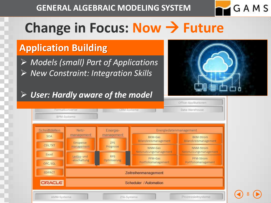

8

### **Change in Focus: Now Future**

#### **Application Building**

 *Models (small) Part of Applications New Constraint: Integration Skills*

#### *User: Hardly aware of the model*



Office-Applikationer

| Formatkonverter   |                             | CRM-Systeme               |                                         | Data-Warehouse                            |  |  |  |
|-------------------|-----------------------------|---------------------------|-----------------------------------------|-------------------------------------------|--|--|--|
|                   | BPM-Systeme                 |                           |                                         |                                           |  |  |  |
| Schnittstellen    | Netz-                       | Energie-                  |                                         | Energiedatenmanagement                    |  |  |  |
| SOA               | management<br>Einspeise-    | management<br><b>ZPS</b>  | <b>BKM-Gas</b><br>Bilanzkreismanagement | <b>BKM-Strom</b><br>Bilanzkreismanagement |  |  |  |
| CSV, TXT<br>Excel | management                  | Prognose                  | NNM-Gas<br>Netznutzungsmanagement       | NNM-Strom<br>Netznutzungsmanagement       |  |  |  |
| OPC, SQL          | Lastzu- und<br>-abschaltung | <b>RPS</b><br>Optimierung | PFM-Gas<br>Portfoliomanagement          | PFM-Strom<br>Portfoliomanagement          |  |  |  |
| <b>EDIFACT</b>    |                             |                           | Zeitreihenmanagement                    |                                           |  |  |  |
| ORACLE            | Scheduler / Automation      |                           |                                         |                                           |  |  |  |
| AMM-Systeme       |                             | ZFA-Systeme               |                                         | Prozessleitsysteme                        |  |  |  |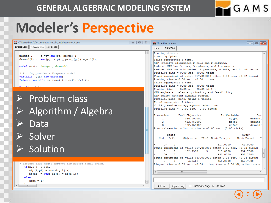

9

### **Modeler's Perspective**

| IDE C:\Users\franz\Documents\gamsdir\projdir\cutstock.gms<br>$\begin{array}{c c c c c c} \hline \multicolumn{3}{c }{\mathbf{H}} & \multicolumn{3}{c }{\mathbf{H}} & \multicolumn{3}{c }{\mathbf{H}} & \multicolumn{3}{c }{\mathbf{H}} & \multicolumn{3}{c }{\mathbf{H}} & \multicolumn{3}{c }{\mathbf{H}} & \multicolumn{3}{c }{\mathbf{H}} & \multicolumn{3}{c }{\mathbf{H}} & \multicolumn{3}{c }{\mathbf{H}} & \multicolumn{3}{c }{\mathbf{H}} & \multicolumn{3}{c }{\mathbf{H}} & \multicolumn{3}{c }{\mathbf$ | <b>IDE</b> No active process<br>$\Box$ $\Box$ $\bm{x}$                                                                                                                                                                                                                                                                                                                                                                                                                                                                      |
|--------------------------------------------------------------------------------------------------------------------------------------------------------------------------------------------------------------------------------------------------------------------------------------------------------------------------------------------------------------------------------------------------------------------------------------------------------------------------------------------------------------------|-----------------------------------------------------------------------------------------------------------------------------------------------------------------------------------------------------------------------------------------------------------------------------------------------------------------------------------------------------------------------------------------------------------------------------------------------------------------------------------------------------------------------------|
| cutstock.gdx   cutstock.gms cutstock.lst                                                                                                                                                                                                                                                                                                                                                                                                                                                                           | cutstock<br>dice                                                                                                                                                                                                                                                                                                                                                                                                                                                                                                            |
| $\overline{a}$<br>numpat<br>$z = e = sum(pp, xp(pp));$<br>$demand(i) \ldots sum(pp, aip(i,pp) * xp(pp)) = q = d(i);$<br>model master /numpat, demand/;<br>* Pricing problem - Knapsack model<br>Variable v(i) new pattern;<br>Integer variable y; y.up(i) = ceil(r/w(i));                                                                                                                                                                                                                                          | Reading data<br>Starting Cplex<br>Tried aggregator 1 time.<br>MIP Presolve eliminated 2 rows and 2 columns.<br>Reduced MIP has 3 rows, 5 columns, and 7 nonzeros.<br>Reduced MIP has 0 binaries, 5 generals, 0 SOSs, and 0 indicators.<br>Presolve time = $0.00$ sec. $(0.01$ ticks)<br>Found incumbent of value 517,000000 after 0.00 sec. (0.02 ticks)<br>Probing time = $0.00$ sec. $(0.00$ ticks)<br>Tried aggregator 1 time.<br>Presolve time = $0.00$ sec. $(0.00$ ticks)<br>Probing time = $-0.00$ sec. (0.00 ticks) |
| $\triangleright$ Problem class                                                                                                                                                                                                                                                                                                                                                                                                                                                                                     | MIP emphasis: balance optimality and feasibility.<br>MIP search method: dynamic search.<br>Parallel mode: none, using 1 thread.<br>Tried aggregator 1 time.                                                                                                                                                                                                                                                                                                                                                                 |
| Algorithm / Algebra<br>$\rightarrow$                                                                                                                                                                                                                                                                                                                                                                                                                                                                               | No LP presolve or aggregator reductions.<br>Presolve time = $-0.00$ sec. (0.00 ticks)<br>Dual Objective<br>In Variable<br>Out<br>Iteration                                                                                                                                                                                                                                                                                                                                                                                  |
| Data                                                                                                                                                                                                                                                                                                                                                                                                                                                                                                               | 354,000000<br>$\mathbf{1}$<br>xp(p2)<br>demand (1<br>452,750000<br>xp(p6)<br>demand (1<br>452,750000<br>xp(p5)<br>demand (<br>Root relaxation solution time = $-0.00$ sec. (0.00 ticks)                                                                                                                                                                                                                                                                                                                                     |
| Solver<br>$\sum$                                                                                                                                                                                                                                                                                                                                                                                                                                                                                                   | Nodes<br>Cuts/<br>Node Left<br>Objective IInf Best Integer<br>Best Bound<br>т                                                                                                                                                                                                                                                                                                                                                                                                                                               |
| Solution<br>$\triangleright$                                                                                                                                                                                                                                                                                                                                                                                                                                                                                       | 517,0000<br>49,0000<br>$0+$<br>$\Omega$<br>Found incumbent of value 517.000000 after 0.05 sec. (0.03 ticks)<br>517,0000<br>$\circ$<br>$^{\circ}$<br>452,7500<br>3<br>452,7500<br>$\Omega$<br>453,0000<br>452,7500<br>$0+$<br>Found incumbent of value 453.000000 after 0.05 sec. (0.04 ticks)                                                                                                                                                                                                                               |
| pattern that might improve the master model found?<br>if $(z.1 < -0.001$ ,<br>$aip(i,pi) = round(y.1(i));$<br>$pp(pi) = yes; pi(p) = pi(p-1);$<br>else<br>done = $1$ :<br>$\overline{\mathbf{r}}$<br>m.                                                                                                                                                                                                                                                                                                            | $\Omega$<br>cutoff<br>$\Omega$<br>453,0000<br>452,7500<br>Elapsed time = $0.05$ sec. (0.04 ticks, tree = 0.00 MB, solutions =<br>$\leftarrow$<br>HL.<br>□ Summary only ○ Update<br>Close<br>Open Log                                                                                                                                                                                                                                                                                                                        |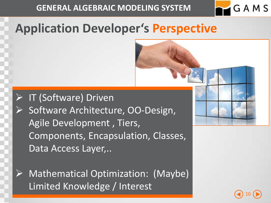

10

### **Application Developer's Perspective**

**IT (Software) Driven**  Software Architecture, OO-Design, Agile Development , Tiers, Components, Encapsulation, Classes, Data Access Layer,..

 Mathematical Optimization: (Maybe) Limited Knowledge / Interest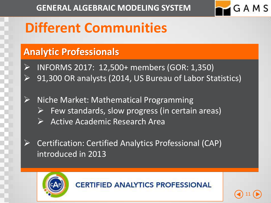

11

### **Different Communities**

#### **Analytic Professionals**

- INFORMS 2017: 12,500+ members (GOR: 1,350) 91,300 OR analysts (2014, US Bureau of Labor Statistics)
- Niche Market: Mathematical Programming
	- Few standards, slow progress (in certain areas)
	- Active Academic Research Area
- Certification: Certified Analytics Professional (CAP) introduced in 2013

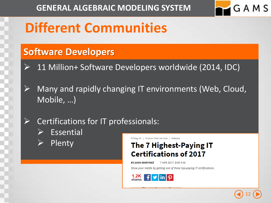

### **Different Communities**

#### **Software Developers**

- 11 Million+ Software Developers worldwide (2014, IDC)
- Many and rapidly changing IT environments (Web, Cloud, Mobile, …)
	- Certifications for IT professionals:
		- Essential
		- Plenty

PCMag UK | Amazon Web Services | Feature

#### The 7 Highest-Paying IT **Certifications of 2017**

**BY JUAN MARTINEZ** 7 APR 2017, 8:05 P.M.

Show your mettle by getting one of these top-paying IT certifications.



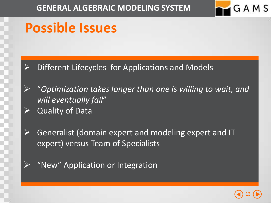

### **Possible Issues**

- Different Lifecycles for Applications and Models
- "*Optimization takes longer than one is willing to wait, and will eventually fail*" Quality of Data
- Generalist (domain expert and modeling expert and IT expert) versus Team of Specialists
- "New" Application or Integration

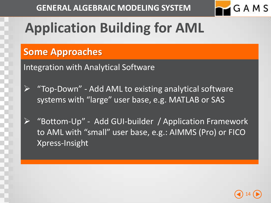

# **Application Building for AML**

#### **Some Approaches**

Integration with Analytical Software

 "Top-Down" - Add AML to existing analytical software systems with "large" user base, e.g. MATLAB or SAS

 "Bottom-Up" - Add GUI-builder / Application Framework to AML with "small" user base, e.g.: AIMMS (Pro) or FICO Xpress-Insight

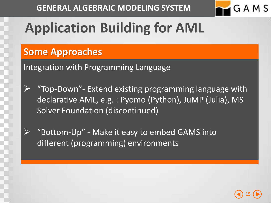

# **Application Building for AML**

#### **Some Approaches**

Integration with Programming Language

- "Top-Down"- Extend existing programming language with declarative AML, e.g. : Pyomo (Python), JuMP (Julia), MS Solver Foundation (discontinued)
	- "Bottom-Up" Make it easy to embed GAMS into different (programming) environments

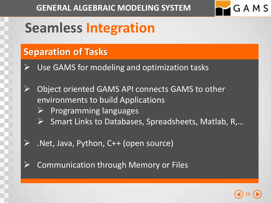

### **Seamless Integration**

#### **Separation of Tasks**

- Use GAMS for modeling and optimization tasks
- Object oriented GAMS API connects GAMS to other environments to build Applications
	- $\triangleright$  Programming languages
	- Smart Links to Databases, Spreadsheets, Matlab, R,…
	- .Net, Java, Python, C++ (open source)
- Communication through Memory or Files

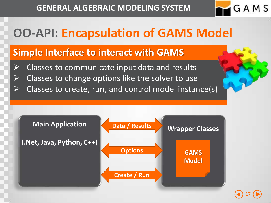

17

### **OO-API: Encapsulation of GAMS Model**

#### **Simple Interface to interact with GAMS**

- Classes to communicate input data and results
- $\triangleright$  Classes to change options like the solver to use
- $\triangleright$  Classes to create, run, and control model instance(s)

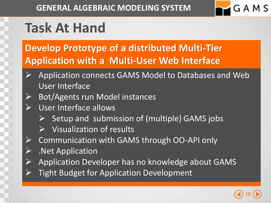

# **Task At Hand**

### **Develop Prototype of a distributed Multi-Tier Application with a Multi-User Web Interface**

- Application connects GAMS Model to Databases and Web User Interface
- > Bot/Agents run Model instances
- $\triangleright$  User Interface allows
	- Setup and submission of (multiple) GAMS jobs
	- $\triangleright$  Visualization of results
- $\triangleright$  Communication with GAMS through OO-API only
- $\triangleright$  . Net Application
- $\triangleright$  Application Developer has no knowledge about GAMS
- Tight Budget for Application Development

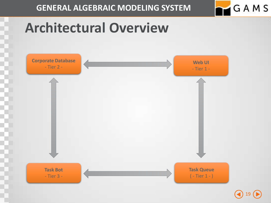

19

# **Architectural Overview**

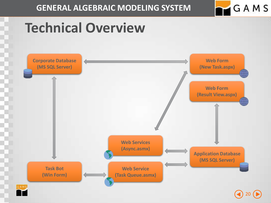

# **Technical Overview**

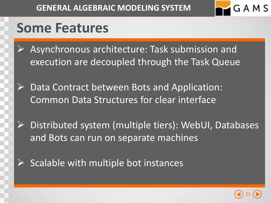

### **Some Features**

- Asynchronous architecture: Task submission and execution are decoupled through the Task Queue
- $\triangleright$  Data Contract between Bots and Application: Common Data Structures for clear interface
- $\triangleright$  Distributed system (multiple tiers): WebUI, Databases and Bots can run on separate machines
- Scalable with multiple bot instances

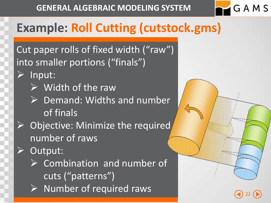

Cut paper rolls of fixed width ("raw") into smaller portions ("finals")

- Input:
	- Width of the raw
	- $\triangleright$  Demand: Widths and number of finals
- Objective: Minimize the required number of raws
- Output:
	- $\triangleright$  Combination and number of cuts ("patterns")  $\triangleright$  Number of required raws

22

GAMS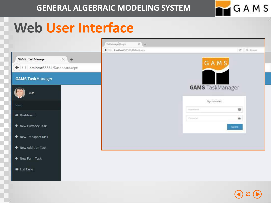

### **Web User Interface**



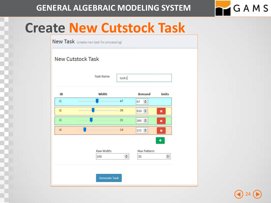

### **Create New Cutstock Task**

New Task (create new task for processing)

#### **New Cutstock Task**

| ID           | Width      |        | <b>Demand</b>       | <b>Units</b> |
|--------------|------------|--------|---------------------|--------------|
| $\mathbf{1}$ |            | 47     | $\Rightarrow$<br>97 |              |
| i2           |            | 36     | 610 $\frac{2}{3}$   | ×            |
| i3           |            | 31     | 395 =               | ×            |
| i4           |            | 14     | $211 \div$          | ×            |
|              | Raw Width: |        | Max Pattern:        | ٠            |
|              | 100        | $\div$ | 35                  | $\div$       |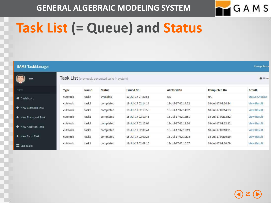

# **Task List (= Queue) and Status**

| <b>GAMS TaskManager</b> |          |       |                                                  |                    |                    |                     | <b>Change Passw</b>   |
|-------------------------|----------|-------|--------------------------------------------------|--------------------|--------------------|---------------------|-----------------------|
| user                    |          |       | Task List (previously generated tasks in system) |                    |                    |                     | <b>B</b> Hom          |
| Menu                    | Type     | Name  | <b>Status</b>                                    | <b>Issued On</b>   | <b>Allotted On</b> | <b>Completed On</b> | <b>Result</b>         |
| <b>K</b> Dashboard      | cutstock | task7 | available                                        | 19-Jul-17 07:59:55 | NA                 | <b>NA</b>           | <b>Status Checker</b> |
|                         | cutstock | task3 | completed                                        | 18-Jul-17 02:14:14 | 18-Jul-17 02:14:22 | 18-Jul-17 02:14:24  | <b>View Result</b>    |
| + New Cutstock Task     | cutstock | task2 | completed                                        | 18-Jul-17 02:13:58 | 18-Jul-17 02:14:02 | 18-Jul-17 02:14:03  | <b>View Result</b>    |
| + New Transport Task    | cutstock | task1 | completed                                        | 18-Jul-17 02:13:45 | 18-Jul-17 02:13:51 | 18-Jul-17 02:13:52  | <b>View Result</b>    |
|                         | cutstock | task4 | completed                                        | 18-Jul-17 02:12:04 | 18-Jul-17 02:12:10 | 18-Jul-17 02:12:12  | <b>View Result</b>    |
| + New Addition Task     | cutstock | task3 | completed                                        | 18-Jul-17 02:09:41 | 18-Jul-17 02:10:19 | 18-Jul-17 02:10:21  | <b>View Result</b>    |
| + New Farm Task         | cutstock | task2 | completed                                        | 18-Jul-17 02:09:28 | 18-Jul-17 02:10:08 | 18-Jul-17 02:10:10  | <b>View Result</b>    |
| <b>E</b> List Tasks     | cutstock | task1 | completed                                        | 18-Jul-17 02:09:16 | 18-Jul-17 02:10:07 | 18-Jul-17 02:10:09  | <b>View Result</b>    |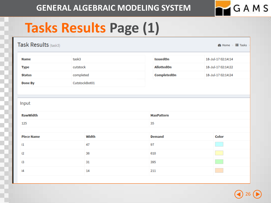

# **Tasks Results Page (1)**

| Task Results (task3) |               |                    | $\bullet$ Home $> \equiv$ Tasks |
|----------------------|---------------|--------------------|---------------------------------|
| <b>Name</b>          | task3         | <b>IssuedOn</b>    | 18-Jul-17 02:14:14              |
| <b>Type</b>          | cutstock      | <b>AllottedOn</b>  | 18-Jul-17 02:14:22              |
| <b>Status</b>        | completed     | <b>CompletedOn</b> | 18-Jul-17 02:14:24              |
| <b>Done By</b>       | CutstockBot01 |                    |                                 |
|                      |               |                    |                                 |
| Input                |               |                    |                                 |
| <b>RawWidth</b>      |               | <b>MaxPattern</b>  |                                 |
| 125                  |               | 35                 |                                 |
|                      |               |                    |                                 |
| <b>Piece Name</b>    | <b>Width</b>  | <b>Demand</b>      | Color                           |
| $\mathbf{1}$         | 47            | 97                 |                                 |
| i2                   | 36            | 610                |                                 |
| i3                   | 31            | 395                |                                 |
| i4                   | 14            | 211                |                                 |
|                      |               |                    |                                 |

26  $\bullet$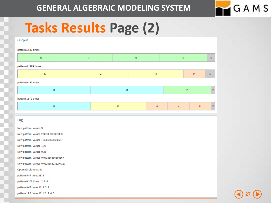

27

### **Tasks Results Page (2)**

| Output                                   |          |          |                 |               |          |               |           |               |   |
|------------------------------------------|----------|----------|-----------------|---------------|----------|---------------|-----------|---------------|---|
| pattern 5:87 times                       |          |          |                 |               |          |               |           |               |   |
| i3                                       | $\sf i3$ |          |                 | $\mathsf{i3}$ |          | $\mathsf{i3}$ |           |               | E |
| pattern 6: 203 times                     |          |          |                 |               |          |               |           |               |   |
| i2                                       |          | $\sf i2$ |                 |               | i2       |               |           | $\sf i4$      | E |
| pattern 9 : 47 times                     |          |          |                 |               |          |               |           |               |   |
| $^{\rm i1}$                              |          |          | $^{\rm i1}$     |               |          |               | $\sf{i}3$ |               | E |
| pattern 11:3 times                       |          |          |                 |               |          |               |           |               |   |
| $^{\rm i1}$                              |          |          | $\overline{12}$ |               | $\sf i4$ | i4            |           | $\mathsf{i}4$ | E |
|                                          |          |          |                 |               |          |               |           |               |   |
| Log                                      |          |          |                 |               |          |               |           |               |   |
| New pattern! Value: -3                   |          |          |                 |               |          |               |           |               |   |
| New pattern! Value: - 2.333333333333333  |          |          |                 |               |          |               |           |               |   |
| New pattern! Value: -1.66666666666667    |          |          |                 |               |          |               |           |               |   |
| New pattern! Value: -1.25                |          |          |                 |               |          |               |           |               |   |
| New pattern! Value: - 0.25               |          |          |                 |               |          |               |           |               |   |
| New pattern! Value: - 0.041666666666667  |          |          |                 |               |          |               |           |               |   |
| New pattern! Value: - 0.0220588235294117 |          |          |                 |               |          |               |           |               |   |
| Optimal Solution: 340                    |          |          |                 |               |          |               |           |               |   |
| pattern 5 87 times: i3: 4                |          |          |                 |               |          |               |           |               |   |
| pattern 6 203 times: i2: 3 i4: 1         |          |          |                 |               |          |               |           |               |   |
| pattern 9 47 times: i1: 2 i3: 1          |          |          |                 |               |          |               |           |               |   |
| pattern 11 3 times: i1: 1 i2: 1 i4: 3    |          |          |                 |               |          |               |           |               |   |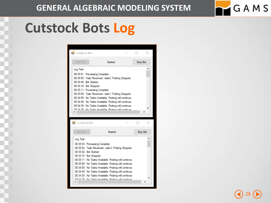# **Cutstock Bots Log**



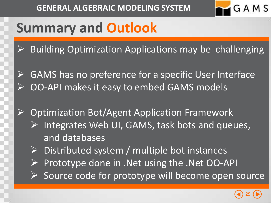

# **Summary and Outlook**

- Building Optimization Applications may be challenging
- GAMS has no preference for a specific User Interface OO-API makes it easy to embed GAMS models
- ▶ Optimization Bot/Agent Application Framework Integrates Web UI, GAMS, task bots and queues, and databases
	- Distributed system / multiple bot instances
	- Prototype done in .Net using the .Net OO-API
	- $\triangleright$  Source code for prototype will become open source